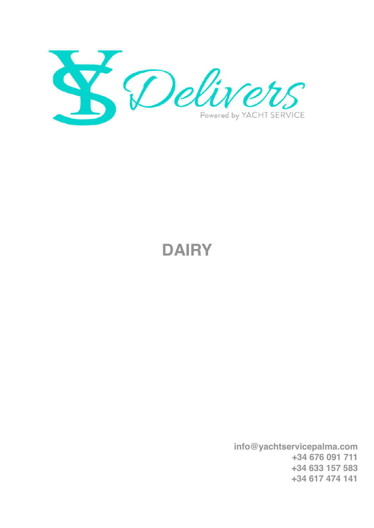

## **DAIRY**

 **info@yachtservicepalma.com +34 676 091 711 +34 633 157 583 +34 617 474 141**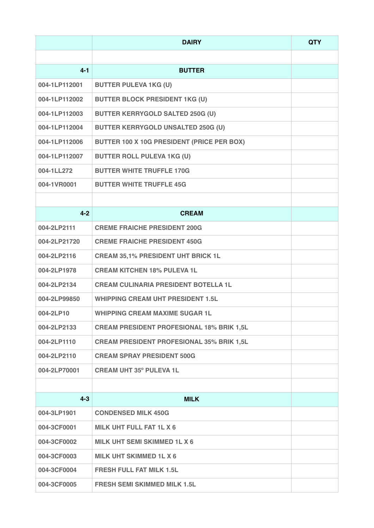|               | <b>DAIRY</b>                                     | <b>QTY</b> |
|---------------|--------------------------------------------------|------------|
|               |                                                  |            |
| $4 - 1$       | <b>BUTTER</b>                                    |            |
| 004-1LP112001 | <b>BUTTER PULEVA 1KG (U)</b>                     |            |
| 004-1LP112002 | <b>BUTTER BLOCK PRESIDENT 1KG (U)</b>            |            |
| 004-1LP112003 | <b>BUTTER KERRYGOLD SALTED 250G (U)</b>          |            |
| 004-1LP112004 | <b>BUTTER KERRYGOLD UNSALTED 250G (U)</b>        |            |
| 004-1LP112006 | BUTTER 100 X 10G PRESIDENT (PRICE PER BOX)       |            |
| 004-1LP112007 | <b>BUTTER ROLL PULEVA 1KG (U)</b>                |            |
| 004-1LL272    | <b>BUTTER WHITE TRUFFLE 170G</b>                 |            |
| 004-1VR0001   | <b>BUTTER WHITE TRUFFLE 45G</b>                  |            |
|               |                                                  |            |
| $4 - 2$       | <b>CREAM</b>                                     |            |
| 004-2LP2111   | <b>CREME FRAICHE PRESIDENT 200G</b>              |            |
| 004-2LP21720  | <b>CREME FRAICHE PRESIDENT 450G</b>              |            |
| 004-2LP2116   | <b>CREAM 35,1% PRESIDENT UHT BRICK 1L</b>        |            |
| 004-2LP1978   | <b>CREAM KITCHEN 18% PULEVA 1L</b>               |            |
| 004-2LP2134   | <b>CREAM CULINARIA PRESIDENT BOTELLA 1L</b>      |            |
| 004-2LP99850  | <b>WHIPPING CREAM UHT PRESIDENT 1.5L</b>         |            |
| 004-2LP10     | <b>WHIPPING CREAM MAXIME SUGAR 1L</b>            |            |
| 004-2LP2133   | <b>CREAM PRESIDENT PROFESIONAL 18% BRIK 1,5L</b> |            |
| 004-2LP1110   | <b>CREAM PRESIDENT PROFESIONAL 35% BRIK 1,5L</b> |            |
| 004-2LP2110   | <b>CREAM SPRAY PRESIDENT 500G</b>                |            |
| 004-2LP70001  | <b>CREAM UHT 35° PULEVA 1L</b>                   |            |
|               |                                                  |            |
| $4 - 3$       | <b>MILK</b>                                      |            |
| 004-3LP1901   | <b>CONDENSED MILK 450G</b>                       |            |
| 004-3CF0001   | MILK UHT FULL FAT 1L X 6                         |            |
| 004-3CF0002   | MILK UHT SEMI SKIMMED 1L X 6                     |            |
| 004-3CF0003   | <b>MILK UHT SKIMMED 1L X 6</b>                   |            |
| 004-3CF0004   | <b>FRESH FULL FAT MILK 1.5L</b>                  |            |
| 004-3CF0005   | <b>FRESH SEMI SKIMMED MILK 1.5L</b>              |            |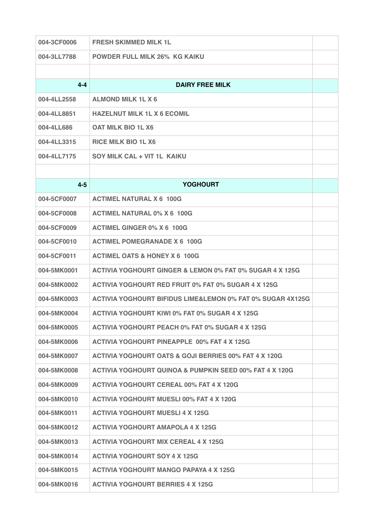| 004-3CF0006 | <b>FRESH SKIMMED MILK 1L</b>                                          |  |
|-------------|-----------------------------------------------------------------------|--|
| 004-3LL7788 | <b>POWDER FULL MILK 26% KG KAIKU</b>                                  |  |
|             |                                                                       |  |
| $4 - 4$     | <b>DAIRY FREE MILK</b>                                                |  |
| 004-4LL2558 | <b>ALMOND MILK 1L X 6</b>                                             |  |
| 004-4LL8851 | <b>HAZELNUT MILK 1L X 6 ECOMIL</b>                                    |  |
| 004-4LL686  | <b>OAT MILK BIO 1L X6</b>                                             |  |
| 004-4LL3315 | <b>RICE MILK BIO 1L X6</b>                                            |  |
| 004-4LL7175 | SOY MILK CAL + VIT 1L KAIKU                                           |  |
|             |                                                                       |  |
| $4 - 5$     | <b>YOGHOURT</b>                                                       |  |
| 004-5CF0007 | <b>ACTIMEL NATURAL X 6 100G</b>                                       |  |
| 004-5CF0008 | <b>ACTIMEL NATURAL 0% X 6 100G</b>                                    |  |
| 004-5CF0009 | <b>ACTIMEL GINGER 0% X 6 100G</b>                                     |  |
| 004-5CF0010 | <b>ACTIMEL POMEGRANADE X 6 100G</b>                                   |  |
| 004-5CF0011 | <b>ACTIMEL OATS &amp; HONEY X 6 100G</b>                              |  |
| 004-5MK0001 | ACTIVIA YOGHOURT GINGER & LEMON 0% FAT 0% SUGAR 4 X 125G              |  |
| 004-5MK0002 | <b>ACTIVIA YOGHOURT RED FRUIT 0% FAT 0% SUGAR 4 X 125G</b>            |  |
| 004-5MK0003 | <b>ACTIVIA YOGHOURT BIFIDUS LIME&amp;LEMON 0% FAT 0% SUGAR 4X125G</b> |  |
| 004-5MK0004 | <b>ACTIVIA YOGHOURT KIWI 0% FAT 0% SUGAR 4 X 125G</b>                 |  |
| 004-5MK0005 | <b>ACTIVIA YOGHOURT PEACH 0% FAT 0% SUGAR 4 X 125G</b>                |  |
| 004-5MK0006 | <b>ACTIVIA YOGHOURT PINEAPPLE 00% FAT 4 X 125G</b>                    |  |
| 004-5MK0007 | ACTIVIA YOGHOURT OATS & GOJI BERRIES 00% FAT 4 X 120G                 |  |
| 004-5MK0008 | <b>ACTIVIA YOGHOURT QUINOA &amp; PUMPKIN SEED 00% FAT 4 X 120G</b>    |  |
| 004-5MK0009 | <b>ACTIVIA YOGHOURT CEREAL 00% FAT 4 X 120G</b>                       |  |
| 004-5MK0010 | <b>ACTIVIA YOGHOURT MUESLI 00% FAT 4 X 120G</b>                       |  |
| 004-5MK0011 | <b>ACTIVIA YOGHOURT MUESLI 4 X 125G</b>                               |  |
| 004-5MK0012 | <b>ACTIVIA YOGHOURT AMAPOLA 4 X 125G</b>                              |  |
| 004-5MK0013 | <b>ACTIVIA YOGHOURT MIX CEREAL 4 X 125G</b>                           |  |
| 004-5MK0014 | <b>ACTIVIA YOGHOURT SOY 4 X 125G</b>                                  |  |
| 004-5MK0015 | ACTIVIA YOGHOURT MANGO PAPAYA 4 X 125G                                |  |
| 004-5MK0016 | <b>ACTIVIA YOGHOURT BERRIES 4 X 125G</b>                              |  |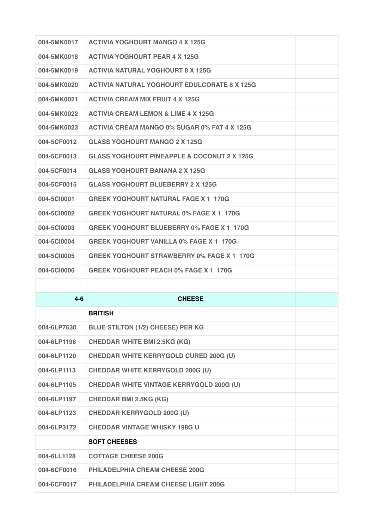| 004-5MK0017 | <b>ACTIVIA YOGHOURT MANGO 4 X 125G</b>                 |  |
|-------------|--------------------------------------------------------|--|
| 004-5MK0018 | <b>ACTIVIA YOGHOURT PEAR 4 X 125G</b>                  |  |
| 004-5MK0019 | <b>ACTIVIA NATURAL YOGHOURT 8 X 125G</b>               |  |
| 004-5MK0020 | <b>ACTIVIA NATURAL YOGHOURT EDULCORATE 8 X 125G</b>    |  |
| 004-5MK0021 | <b>ACTIVIA CREAM MIX FRUIT 4 X 125G</b>                |  |
| 004-5MK0022 | <b>ACTIVIA CREAM LEMON &amp; LIME 4 X 125G</b>         |  |
| 004-5MK0023 | <b>ACTIVIA CREAM MANGO 0% SUGAR 0% FAT 4 X 125G</b>    |  |
| 004-5CF0012 | <b>GLASS YOGHOURT MANGO 2 X 125G</b>                   |  |
| 004-5CF0013 | <b>GLASS YOGHOURT PINEAPPLE &amp; COCONUT 2 X 125G</b> |  |
| 004-5CF0014 | <b>GLASS YOGHOURT BANANA 2 X 125G</b>                  |  |
| 004-5CF0015 | <b>GLASS YOGHOURT BLUEBERRY 2 X 125G</b>               |  |
| 004-5Cl0001 | <b>GREEK YOGHOURT NATURAL FAGE X 1 170G</b>            |  |
| 004-5Cl0002 | <b>GREEK YOGHOURT NATURAL 0% FAGE X 1 170G</b>         |  |
| 004-5C10003 | <b>GREEK YOGHOURT BLUEBERRY 0% FAGE X 1 170G</b>       |  |
| 004-5Cl0004 | <b>GREEK YOGHOURT VANILLA 0% FAGE X 1 170G</b>         |  |
| 004-5Cl0005 | <b>GREEK YOGHOURT STRAWBERRY 0% FAGE X 1 170G</b>      |  |
|             |                                                        |  |
| 004-5Cl0006 | <b>GREEK YOGHOURT PEACH 0% FAGE X 1 170G</b>           |  |
|             |                                                        |  |
| $4 - 6$     | <b>CHEESE</b>                                          |  |
|             | <b>BRITISH</b>                                         |  |
| 004-6LP7630 | <b>BLUE STILTON (1/2) CHEESE) PER KG</b>               |  |
| 004-6LP1198 | <b>CHEDDAR WHITE BMI 2.5KG (KG)</b>                    |  |
| 004-6LP1120 | <b>CHEDDAR WHITE KERRYGOLD CURED 200G (U)</b>          |  |
| 004-6LP1113 | <b>CHEDDAR WHITE KERRYGOLD 200G (U)</b>                |  |
| 004-6LP1105 | <b>CHEDDAR WHITE VINTAGE KERRYGOLD 200G (U)</b>        |  |
| 004-6LP1197 | <b>CHEDDAR BMI 2.5KG (KG)</b>                          |  |
| 004-6LP1123 | <b>CHEDDAR KERRYGOLD 200G (U)</b>                      |  |
| 004-6LP3172 | <b>CHEDDAR VINTAGE WHISKY 198G U</b>                   |  |
|             | <b>SOFT CHEESES</b>                                    |  |
| 004-6LL1128 | <b>COTTAGE CHEESE 200G</b>                             |  |
| 004-6CF0016 | <b>PHILADELPHIA CREAM CHEESE 200G</b>                  |  |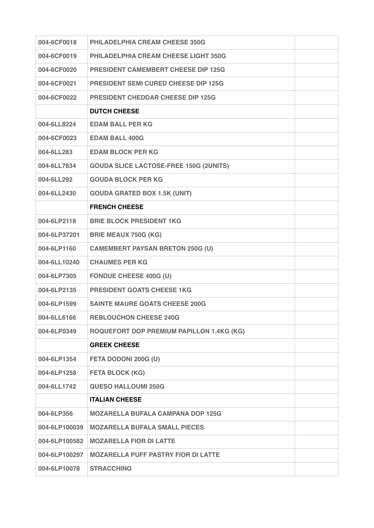| 004-6CF0018   | <b>PHILADELPHIA CREAM CHEESE 350G</b>            |  |
|---------------|--------------------------------------------------|--|
| 004-6CF0019   | <b>PHILADELPHIA CREAM CHEESE LIGHT 350G</b>      |  |
| 004-6CF0020   | <b>PRESIDENT CAMEMBERT CHEESE DIP 125G</b>       |  |
| 004-6CF0021   | <b>PRESIDENT SEMI CURED CHEESE DIP 125G</b>      |  |
| 004-6CF0022   | <b>PRESIDENT CHEDDAR CHEESE DIP 125G</b>         |  |
|               | <b>DUTCH CHEESE</b>                              |  |
| 004-6LL8224   | <b>EDAM BALL PER KG</b>                          |  |
| 004-6CF0023   | <b>EDAM BALL 400G</b>                            |  |
| 004-6LL283    | <b>EDAM BLOCK PER KG</b>                         |  |
| 004-6LL7834   | <b>GOUDA SLICE LACTOSE-FREE 150G (2UNITS)</b>    |  |
| 004-6LL292    | <b>GOUDA BLOCK PER KG</b>                        |  |
| 004-6LL2430   | <b>GOUDA GRATED BOX 1.5K (UNIT)</b>              |  |
|               | <b>FRENCH CHEESE</b>                             |  |
| 004-6LP2118   | <b>BRIE BLOCK PRESIDENT 1KG</b>                  |  |
| 004-6LP37201  | <b>BRIE MEAUX 750G (KG)</b>                      |  |
| 004-6LP1160   | <b>CAMEMBERT PAYSAN BRETON 250G (U)</b>          |  |
| 004-6LL10240  | <b>CHAUMES PER KG</b>                            |  |
| 004-6LP7305   | <b>FONDUE CHEESE 400G (U)</b>                    |  |
| 004-6LP2135   | <b>PRESIDENT GOATS CHEESE 1KG</b>                |  |
| 004-6LP1599   | <b>SAINTE MAURE GOATS CHEESE 200G</b>            |  |
| 004-6LL6166   | <b>REBLOUCHON CHEESE 240G</b>                    |  |
| 004-6LP0349   | <b>ROQUEFORT DOP PREMIUM PAPILLON 1.4KG (KG)</b> |  |
|               | <b>GREEK CHEESE</b>                              |  |
| 004-6LP1354   | FETA DODONI 200G (U)                             |  |
| 004-6LP1258   | <b>FETA BLOCK (KG)</b>                           |  |
| 004-6LL1742   | <b>QUESO HALLOUMI 250G</b>                       |  |
|               | <b>ITALIAN CHEESE</b>                            |  |
| 004-6LP356    | <b>MOZARELLA BUFALA CAMPANA DOP 125G</b>         |  |
| 004-6LP100039 | <b>MOZARELLA BUFALA SMALL PIECES</b>             |  |
| 004-6LP100582 | <b>MOZARELLA FIOR DI LATTE</b>                   |  |
| 004-6LP100297 | <b>MOZARELLA PUFF PASTRY FIOR DI LATTE</b>       |  |
| 004-6LP10078  | <b>STRACCHINO</b>                                |  |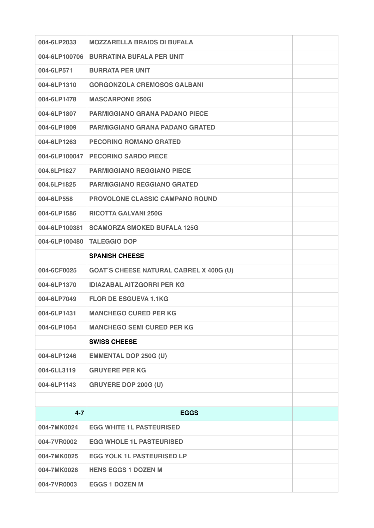| 004-6LP2033   | <b>MOZZARELLA BRAIDS DI BUFALA</b>             |  |
|---------------|------------------------------------------------|--|
| 004-6LP100706 | <b>BURRATINA BUFALA PER UNIT</b>               |  |
| 004-6LP571    | <b>BURRATA PER UNIT</b>                        |  |
| 004-6LP1310   | <b>GORGONZOLA CREMOSOS GALBANI</b>             |  |
| 004-6LP1478   | <b>MASCARPONE 250G</b>                         |  |
| 004-6LP1807   | <b>PARMIGGIANO GRANA PADANO PIECE</b>          |  |
| 004-6LP1809   | <b>PARMIGGIANO GRANA PADANO GRATED</b>         |  |
| 004-6LP1263   | <b>PECORINO ROMANO GRATED</b>                  |  |
| 004-6LP100047 | <b>PECORINO SARDO PIECE</b>                    |  |
| 004.6LP1827   | <b>PARMIGGIANO REGGIANO PIECE</b>              |  |
| 004.6LP1825   | <b>PARMIGGIANO REGGIANO GRATED</b>             |  |
| 004-6LP558    | <b>PROVOLONE CLASSIC CAMPANO ROUND</b>         |  |
| 004-6LP1586   | <b>RICOTTA GALVANI 250G</b>                    |  |
| 004-6LP100381 | <b>SCAMORZA SMOKED BUFALA 125G</b>             |  |
| 004-6LP100480 | <b>TALEGGIO DOP</b>                            |  |
|               | <b>SPANISH CHEESE</b>                          |  |
| 004-6CF0025   | <b>GOAT'S CHEESE NATURAL CABREL X 400G (U)</b> |  |
| 004-6LP1370   | <b>IDIAZABAL AITZGORRI PER KG</b>              |  |
| 004-6LP7049   | <b>FLOR DE ESGUEVA 1.1KG</b>                   |  |
| 004-6LP1431   | <b>MANCHEGO CURED PER KG</b>                   |  |
| 004-6LP1064   | <b>MANCHEGO SEMI CURED PER KG</b>              |  |
|               | <b>SWISS CHEESE</b>                            |  |
| 004-6LP1246   | <b>EMMENTAL DOP 250G (U)</b>                   |  |
| 004-6LL3119   | <b>GRUYERE PER KG</b>                          |  |
| 004-6LP1143   | <b>GRUYERE DOP 200G (U)</b>                    |  |
|               |                                                |  |
| $4 - 7$       | <b>EGGS</b>                                    |  |
| 004-7MK0024   | <b>EGG WHITE 1L PASTEURISED</b>                |  |
| 004-7VR0002   | <b>EGG WHOLE 1L PASTEURISED</b>                |  |
| 004-7MK0025   | <b>EGG YOLK 1L PASTEURISED LP</b>              |  |
| 004-7MK0026   | <b>HENS EGGS 1 DOZEN M</b>                     |  |
| 004-7VR0003   | <b>EGGS 1 DOZEN M</b>                          |  |